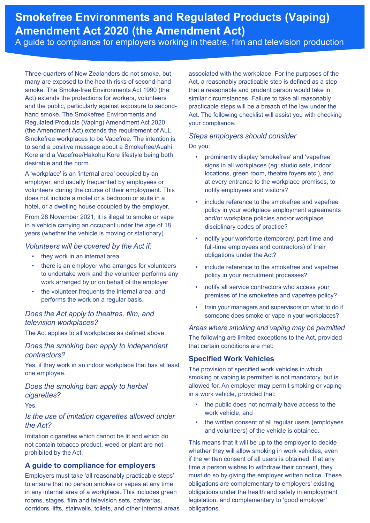# **Smokefree Environments and Regulated Products (Vaping) Amendment Act 2020 (the Amendment Act)**

A guide to compliance for employers working in theatre, film and television production

Three-quarters of New Zealanders do not smoke, but many are exposed to the health risks of second-hand smoke. The Smoke-free Environments Act 1990 (the Act) extends the protections for workers, volunteers and the public, particularly against exposure to secondhand smoke. The Smokefree Environments and Regulated Products (Vaping) Amendment Act 2020 (the Amendment Act) extends the requirement of ALL Smokefree workplaces to be Vapefree. The intention is to send a positive message about a Smokefree/Auahi Kore and a Vapefree/Hākohu Kore lifestyle being both desirable and the norm.

A 'workplace' is an 'internal area' occupied by an employer, and usually frequented by employees or volunteers during the course of their employment. This does not include a motel or a bedroom or suite in a hotel, or a dwelling house occupied by the employer.

From 28 November 2021, it is illegal to smoke or vape in a vehicle carrying an occupant under the age of 18 years (whether the vehicle is moving or stationary).

#### *Volunteers will be covered by the Act if:*

- they work in an internal area
- there is an employer who arranges for volunteers to undertake work and the volunteer performs any work arranged by or on behalf of the employer
- the volunteer frequents the internal area, and performs the work on a regular basis.

## *Does the Act apply to theatres, film, and television workplaces?*

The Act applies to all workplaces as defined above.

## *Does the smoking ban apply to independent contractors?*

Yes, if they work in an indoor workplace that has at least one employee.

# *Does the smoking ban apply to herbal cigarettes?*

Yes.

## *Is the use of imitation cigarettes allowed under the Act?*

Imitation cigarettes which cannot be lit and which do not contain tobacco product, weed or plant are not prohibited by the Act.

## **A guide to compliance for employers**

Employers must take 'all reasonably practicable steps' to ensure that no person smokes or vapes at any time in any internal area of a workplace. This includes green rooms, stages, film and television sets, cafeterias, corridors, lifts, stairwells, toilets, and other internal areas associated with the workplace. For the purposes of the Act, a reasonably practicable step is defined as a step that a reasonable and prudent person would take in similar circumstances. Failure to take all reasonably practicable steps will be a breach of the law under the Act. The following checklist will assist you with checking your compliance.

## *Steps employers should consider*

Do you:

- prominently display 'smokefree' and 'vapefree' signs in all workplaces (eg: studio sets, indoor locations, green room, theatre foyers etc.), and at every entrance to the workplace premises, to notify employees and visitors?
- include reference to the smokefree and vapefree policy in your workplace employment agreements and/or workplace policies and/or workplace disciplinary codes of practice?
- notify your workforce (temporary, part-time and full-time employees and contractors) of their obligations under the Act?
- include reference to the smokefree and vapefree policy in your recruitment processes?
- notify all service contractors who access your premises of the smokefree and vapefree policy?
- train your managers and supervisors on what to do if someone does smoke or vape in your workplaces?

#### *Areas where smoking and vaping may be permitted*

The following are limited exceptions to the Act, provided that certain conditions are met:

## **Specified Work Vehicles**

The provision of specified work vehicles in which smoking or vaping is permitted is not mandatory, but is allowed for. An employer **may** permit smoking or vaping in a work vehicle, provided that:

- the public does not normally have access to the work vehicle, and
- the written consent of all regular users (employees and volunteers) of the vehicle is obtained.

This means that it will be up to the employer to decide whether they will allow smoking in work vehicles, even if the written consent of all users is obtained. If at any time a person wishes to withdraw their consent, they must do so by giving the employer written notice. These obligations are complementary to employers' existing obligations under the health and safety in employment legislation, and complementary to 'good employer' obligations.